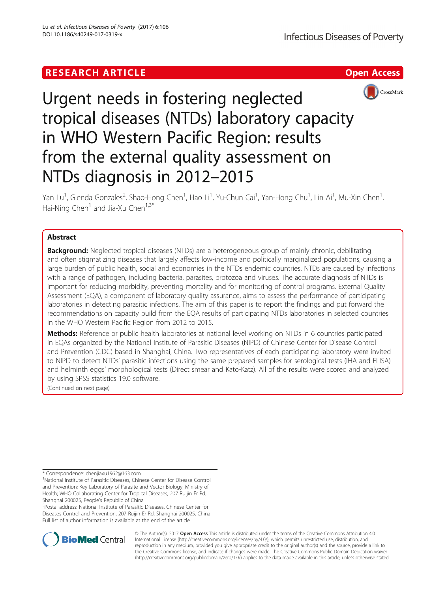## **RESEARCH ARTICLE Example 2018 12:00 Deep Access**



# Urgent needs in fostering neglected tropical diseases (NTDs) laboratory capacity in WHO Western Pacific Region: results from the external quality assessment on NTDs diagnosis in 2012–2015

Yan Lu<sup>1</sup>, Glenda Gonzales<sup>2</sup>, Shao-Hong Chen<sup>1</sup>, Hao Li<sup>1</sup>, Yu-Chun Cai<sup>1</sup>, Yan-Hong Chu<sup>1</sup>, Lin Ai<sup>1</sup>, Mu-Xin Chen<sup>1</sup> , Hai-Ning Chen<sup>1</sup> and Jia-Xu Chen<sup>1,3\*</sup>

### Abstract

**Background:** Neglected tropical diseases (NTDs) are a heterogeneous group of mainly chronic, debilitating and often stigmatizing diseases that largely affects low-income and politically marginalized populations, causing a large burden of public health, social and economies in the NTDs endemic countries. NTDs are caused by infections with a range of pathogen, including bacteria, parasites, protozoa and viruses. The accurate diagnosis of NTDs is important for reducing morbidity, preventing mortality and for monitoring of control programs. External Quality Assessment (EQA), a component of laboratory quality assurance, aims to assess the performance of participating laboratories in detecting parasitic infections. The aim of this paper is to report the findings and put forward the recommendations on capacity build from the EQA results of participating NTDs laboratories in selected countries in the WHO Western Pacific Region from 2012 to 2015.

Methods: Reference or public health laboratories at national level working on NTDs in 6 countries participated in EQAs organized by the National Institute of Parasitic Diseases (NIPD) of Chinese Center for Disease Control and Prevention (CDC) based in Shanghai, China. Two representatives of each participating laboratory were invited to NIPD to detect NTDs' parasitic infections using the same prepared samples for serological tests (IHA and ELISA) and helminth eggs' morphological tests (Direct smear and Kato-Katz). All of the results were scored and analyzed by using SPSS statistics 19.0 software.

(Continued on next page)

<sup>&</sup>lt;sup>3</sup>Postal address: National Institute of Parasitic Diseases, Chinese Center for Diseases Control and Prevention, 207 Ruijin Er Rd, Shanghai 200025, China Full list of author information is available at the end of the article



© The Author(s). 2017 **Open Access** This article is distributed under the terms of the Creative Commons Attribution 4.0 International License [\(http://creativecommons.org/licenses/by/4.0/](http://creativecommons.org/licenses/by/4.0/)), which permits unrestricted use, distribution, and reproduction in any medium, provided you give appropriate credit to the original author(s) and the source, provide a link to the Creative Commons license, and indicate if changes were made. The Creative Commons Public Domain Dedication waiver [\(http://creativecommons.org/publicdomain/zero/1.0/](http://creativecommons.org/publicdomain/zero/1.0/)) applies to the data made available in this article, unless otherwise stated.

<sup>\*</sup> Correspondence: [chenjiaxu1962@163.com](mailto:chenjiaxu1962@163.com) <sup>1</sup>

<sup>&</sup>lt;sup>1</sup>National Institute of Parasitic Diseases, Chinese Center for Disease Control and Prevention; Key Laboratory of Parasite and Vector Biology, Ministry of Health; WHO Collaborating Center for Tropical Diseases, 207 Ruijin Er Rd, Shanghai 200025, People's Republic of China <sup>3</sup>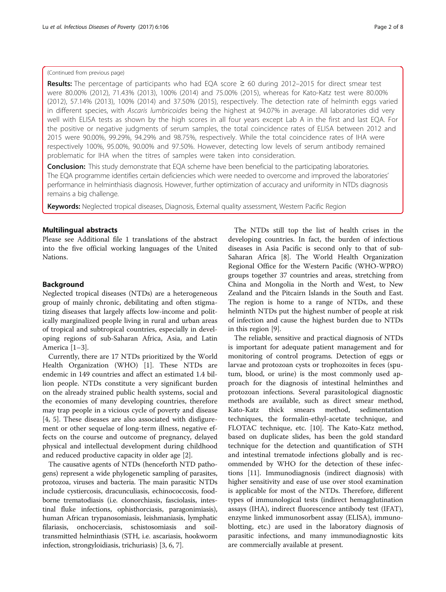#### (Continued from previous page)

**Results:** The percentage of participants who had EQA score  $\geq 60$  during 2012–2015 for direct smear test were 80.00% (2012), 71.43% (2013), 100% (2014) and 75.00% (2015), whereas for Kato-Katz test were 80.00% (2012), 57.14% (2013), 100% (2014) and 37.50% (2015), respectively. The detection rate of helminth eggs varied in different species, with Ascaris lumbricoides being the highest at 94.07% in average. All laboratories did very well with ELISA tests as shown by the high scores in all four years except Lab A in the first and last EQA. For the positive or negative judgments of serum samples, the total coincidence rates of ELISA between 2012 and 2015 were 90.00%, 99.29%, 94.29% and 98.75%, respectively. While the total coincidence rates of IHA were respectively 100%, 95.00%, 90.00% and 97.50%. However, detecting low levels of serum antibody remained problematic for IHA when the titres of samples were taken into consideration.

**Conclusion:** This study demonstrate that EQA scheme have been beneficial to the participating laboratories. The EQA programme identifies certain deficiencies which were needed to overcome and improved the laboratories' performance in helminthiasis diagnosis. However, further optimization of accuracy and uniformity in NTDs diagnosis remains a big challenge.

Keywords: Neglected tropical diseases, Diagnosis, External quality assessment, Western Pacific Region

#### Multilingual abstracts

Please see Additional file [1](#page-6-0) translations of the abstract into the five official working languages of the United Nations.

#### Background

Neglected tropical diseases (NTDs) are a heterogeneous group of mainly chronic, debilitating and often stigmatizing diseases that largely affects low-income and politically marginalized people living in rural and urban areas of tropical and subtropical countries, especially in developing regions of sub-Saharan Africa, Asia, and Latin America [\[1](#page-7-0)–[3](#page-7-0)].

Currently, there are 17 NTDs prioritized by the World Health Organization (WHO) [\[1](#page-7-0)]. These NTDs are endemic in 149 countries and affect an estimated 1.4 billion people. NTDs constitute a very significant burden on the already strained public health systems, social and the economies of many developing countries, therefore may trap people in a vicious cycle of poverty and disease [[4, 5\]](#page-7-0). These diseases are also associated with disfigurement or other sequelae of long-term illness, negative effects on the course and outcome of pregnancy, delayed physical and intellectual development during childhood and reduced productive capacity in older age [\[2](#page-7-0)].

The causative agents of NTDs (henceforth NTD pathogens) represent a wide phylogenetic sampling of parasites, protozoa, viruses and bacteria. The main parasitic NTDs include cystiercosis, dracunculiasis, echinococcosis, foodborne trematodiasis (i.e. clonorchiasis, fasciolasis, intestinal fluke infections, ophisthorciasis, paragonimiasis), human African trypanosomiasis, leishmaniasis, lymphatic filariasis, onchocerciasis, schistosomiasis and soiltransmitted helminthiasis (STH, i.e. ascariasis, hookworm infection, strongyloidiasis, trichuriasis) [\[3, 6](#page-7-0), [7\]](#page-7-0).

The NTDs still top the list of health crises in the developing countries. In fact, the burden of infectious diseases in Asia Pacific is second only to that of sub-Saharan Africa [[8](#page-7-0)]. The World Health Organization Regional Office for the Western Pacific (WHO-WPRO) groups together 37 countries and areas, stretching from China and Mongolia in the North and West, to New Zealand and the Pitcairn Islands in the South and East. The region is home to a range of NTDs, and these helminth NTDs put the highest number of people at risk of infection and cause the highest burden due to NTDs in this region [\[9](#page-7-0)].

The reliable, sensitive and practical diagnosis of NTDs is important for adequate patient management and for monitoring of control programs. Detection of eggs or larvae and protozoan cysts or trophozoites in feces (sputum, blood, or urine) is the most commonly used approach for the diagnosis of intestinal helminthes and protozoan infections. Several parasitological diagnostic methods are available, such as direct smear method, Kato-Katz thick smears method, sedimentation techniques, the formalin-ethyl-acetate technique, and FLOTAC technique, etc. [\[10](#page-7-0)]. The Kato-Katz method, based on duplicate slides, has been the gold standard technique for the detection and quantification of STH and intestinal trematode infections globally and is recommended by WHO for the detection of these infections [[11\]](#page-7-0). Immunodiagnosis (indirect diagnosis) with higher sensitivity and ease of use over stool examination is applicable for most of the NTDs. Therefore, different types of immunological tests (indirect hemagglutination assays (IHA), indirect fluorescence antibody test (IFAT), enzyme linked immunosorbent assay (ELISA), immunoblotting, etc.) are used in the laboratory diagnosis of parasitic infections, and many immunodiagnostic kits are commercially available at present.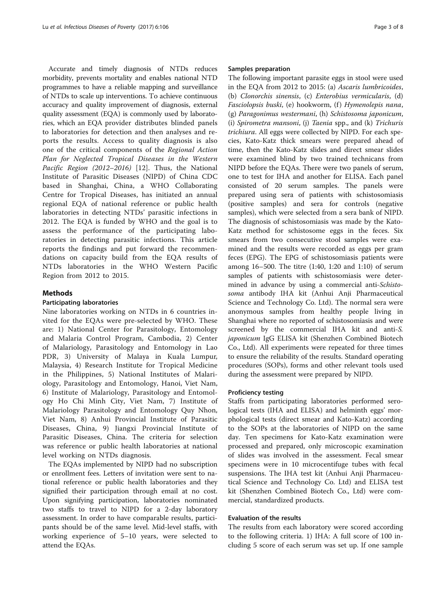Accurate and timely diagnosis of NTDs reduces morbidity, prevents mortality and enables national NTD programmes to have a reliable mapping and surveillance of NTDs to scale up interventions. To achieve continuous accuracy and quality improvement of diagnosis, external quality assessment (EQA) is commonly used by laboratories, which an EQA provider distributes blinded panels to laboratories for detection and then analyses and reports the results. Access to quality diagnosis is also one of the critical components of the Regional Action Plan for Neglected Tropical Diseases in the Western Pacific Region (2012–2016) [[12\]](#page-7-0). Thus, the National Institute of Parasitic Diseases (NIPD) of China CDC based in Shanghai, China, a WHO Collaborating Centre for Tropical Diseases, has initiated an annual regional EQA of national reference or public health laboratories in detecting NTDs' parasitic infections in 2012. The EQA is funded by WHO and the goal is to assess the performance of the participating laboratories in detecting parasitic infections. This article reports the findings and put forward the recommendations on capacity build from the EQA results of NTDs laboratories in the WHO Western Pacific Region from 2012 to 2015.

#### Methods

#### Participating laboratories

Nine laboratories working on NTDs in 6 countries invited for the EQAs were pre-selected by WHO. These are: 1) National Center for Parasitology, Entomology and Malaria Control Program, Cambodia, 2) Center of Malariology, Parasitology and Entomology in Lao PDR, 3) University of Malaya in Kuala Lumpur, Malaysia, 4) Research Institute for Tropical Medicine in the Philippines, 5) National Institutes of Malariology, Parasitology and Entomology, Hanoi, Viet Nam, 6) Institute of Malariology, Parasitology and Entomology Ho Chi Minh City, Viet Nam, 7) Institute of Malariology Parasitology and Entomology Quy Nhon, Viet Nam, 8) Anhui Provincial Institute of Parasitic Diseases, China, 9) Jiangxi Provincial Institute of Parasitic Diseases, China. The criteria for selection was reference or public health laboratories at national level working on NTDs diagnosis.

The EQAs implemented by NIPD had no subscription or enrollment fees. Letters of invitation were sent to national reference or public health laboratories and they signified their participation through email at no cost. Upon signifying participation, laboratories nominated two staffs to travel to NIPD for a 2-day laboratory assessment. In order to have comparable results, participants should be of the same level. Mid-level staffs, with working experience of 5–10 years, were selected to attend the EQAs.

#### Samples preparation

The following important parasite eggs in stool were used in the EQA from 2012 to 2015: (a) Ascaris lumbricoides, (b) Clonorchis sinensis, (c) Enterobius vermicularis, (d) Fasciolopsis buski, (e) hookworm, (f) Hymenolepis nana, (g) Paragonimus westermani, (h) Schistosoma japonicum, (i) Spirometra mansoni, (j) Taenia spp., and (k) Trichuris trichiura. All eggs were collected by NIPD. For each species, Kato-Katz thick smears were prepared ahead of time, then the Kato-Katz slides and direct smear slides were examined blind by two trained technicans from NIPD before the EQAs. There were two panels of serum, one to test for IHA and another for ELISA. Each panel consisted of 20 serum samples. The panels were prepared using sera of patients with schistosomiasis (positive samples) and sera for controls (negative samples), which were selected from a sera bank of NIPD. The diagnosis of schistosomiasis was made by the Kato-Katz method for schistosome eggs in the feces. Six smears from two consecutive stool samples were examined and the results were recorded as eggs per gram feces (EPG). The EPG of schistosomiasis patients were among 16–500. The titre (1:40, 1:20 and 1:10) of serum samples of patients with schistosomiasis were determined in advance by using a commercial anti-Schistosoma antibody IHA kit (Anhui Anji Pharmaceutical Science and Technology Co. Ltd). The normal sera were anonymous samples from healthy people living in Shanghai where no reported of schistosomiasis and were screened by the commercial IHA kit and anti-S. japonicum IgG ELISA kit (Shenzhen Combined Biotech Co., Ltd). All experiments were repeated for three times to ensure the reliability of the results. Standard operating procedures (SOPs), forms and other relevant tools used during the assessment were prepared by NIPD.

#### Proficiency testing

Staffs from participating laboratories performed serological tests (IHA and ELISA) and helminth eggs' morphological tests (direct smear and Kato-Katz) according to the SOPs at the laboratories of NIPD on the same day. Ten specimens for Kato-Katz examination were processed and prepared, only microscopic examination of slides was involved in the assessment. Fecal smear specimens were in 10 microcentifuge tubes with fecal suspensions. The IHA test kit (Anhui Anji Pharmaceutical Science and Technology Co. Ltd) and ELISA test kit (Shenzhen Combined Biotech Co., Ltd) were commercial, standardized products.

#### Evaluation of the results

The results from each laboratory were scored according to the following criteria. 1) IHA: A full score of 100 including 5 score of each serum was set up. If one sample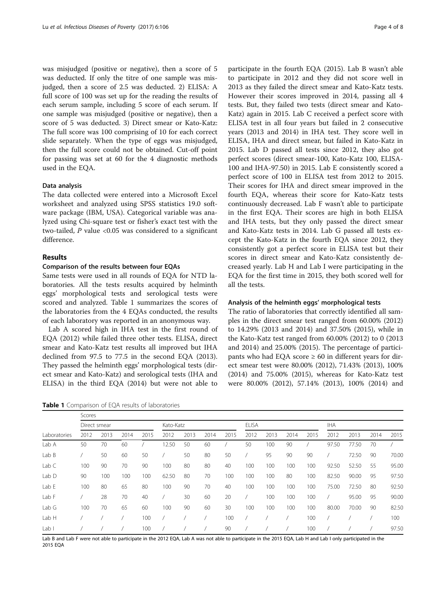was misjudged (positive or negative), then a score of 5 was deducted. If only the titre of one sample was misjudged, then a score of 2.5 was deducted. 2) ELISA: A full score of 100 was set up for the reading the results of each serum sample, including 5 score of each serum. If one sample was misjudged (positive or negative), then a score of 5 was deducted. 3) Direct smear or Kato-Katz: The full score was 100 comprising of 10 for each correct slide separately. When the type of eggs was misjudged, then the full score could not be obtained. Cut-off point for passing was set at 60 for the 4 diagnostic methods used in the EQA.

#### Data analysis

The data collected were entered into a Microsoft Excel worksheet and analyzed using SPSS statistics 19.0 software package (IBM, USA). Categorical variable was analyzed using Chi-square test or fisher's exact test with the two-tailed,  $P$  value <0.05 was considered to a significant difference.

#### Results

#### Comparison of the results between four EQAs

Same tests were used in all rounds of EQA for NTD laboratories. All the tests results acquired by helminth eggs' morphological tests and serological tests were scored and analyzed. Table 1 summarizes the scores of the laboratories from the 4 EQAs conducted, the results of each laboratory was reported in an anonymous way.

Lab A scored high in IHA test in the first round of EQA (2012) while failed three other tests. ELISA, direct smear and Kato-Katz test results all improved but IHA declined from 97.5 to 77.5 in the second EQA (2013). They passed the helminth eggs' morphological tests (direct smear and Kato-Katz) and serological tests (IHA and ELISA) in the third EQA (2014) but were not able to

Table 1 Comparison of EQA results of laboratories

participate in the fourth EQA (2015). Lab B wasn't able to participate in 2012 and they did not score well in 2013 as they failed the direct smear and Kato-Katz tests. However their scores improved in 2014, passing all 4 tests. But, they failed two tests (direct smear and Kato-Katz) again in 2015. Lab C received a perfect score with ELISA test in all four years but failed in 2 consecutive years (2013 and 2014) in IHA test. They score well in ELISA, IHA and direct smear, but failed in Kato-Katz in 2015. Lab D passed all tests since 2012, they also got perfect scores (direct smear-100, Kato-Katz 100, ELISA-100 and IHA-97.50) in 2015. Lab E consistently scored a perfect score of 100 in ELISA test from 2012 to 2015. Their scores for IHA and direct smear improved in the fourth EQA, whereas their score for Kato-Katz tests continuously decreased. Lab F wasn't able to participate in the first EQA. Their scores are high in both ELISA and IHA tests, but they only passed the direct smear and Kato-Katz tests in 2014. Lab G passed all tests except the Kato-Katz in the fourth EQA since 2012, they consistently got a perfect score in ELISA test but their scores in direct smear and Kato-Katz consistently decreased yearly. Lab H and Lab I were participating in the EQA for the first time in 2015, they both scored well for all the tests.

#### Analysis of the helminth eggs' morphological tests

The ratio of laboratories that correctly identified all samples in the direct smear test ranged from 60.00% (2012) to 14.29% (2013 and 2014) and 37.50% (2015), while in the Kato-Katz test ranged from 60.00% (2012) to 0 (2013 and 2014) and 25.00% (2015). The percentage of participants who had EQA score  $\geq 60$  in different years for direct smear test were 80.00% (2012), 71.43% (2013), 100% (2014) and 75.00% (2015), whereas for Kato-Katz test were 80.00% (2012), 57.14% (2013), 100% (2014) and

| Scores       |      |      |      |       |      |           |              |      |      |            |      |       |       |      |       |
|--------------|------|------|------|-------|------|-----------|--------------|------|------|------------|------|-------|-------|------|-------|
| Direct smear |      |      |      |       |      |           | <b>ELISA</b> |      |      | <b>IHA</b> |      |       |       |      |       |
| 2012         | 2013 | 2014 | 2015 | 2012  | 2013 | 2014      | 2015         | 2012 | 2013 | 2014       | 2015 | 2012  | 2013  | 2014 | 2015  |
| 50           | 70   | 60   |      | 12.50 | 50   | 60        |              | 50   | 100  | 90         |      | 97.50 | 77.50 | 70   |       |
|              | 50   | 60   | 50   |       | 50   | 80        | 50           |      | 95   | 90         | 90   |       | 72.50 | 90   | 70.00 |
| 100          | 90   | 70   | 90   | 100   | 80   | 80        | 40           | 100  | 100  | 100        | 100  | 92.50 | 52.50 | 55   | 95.00 |
| 90           | 100  | 100  | 100  | 62.50 | 80   | 70        | 100          | 100  | 100  | 80         | 100  | 82.50 | 90.00 | 95   | 97.50 |
| 100          | 80   | 65   | 80   | 100   | 90   | 70        | 40           | 100  | 100  | 100        | 100  | 75.00 | 72.50 | 80   | 92.50 |
|              | 28   | 70   | 40   |       | 30   | 60        | 20           |      | 100  | 100        | 100  |       | 95.00 | 95   | 90.00 |
| 100          | 70   | 65   | 60   | 100   | 90   | 60        | 30           | 100  | 100  | 100        | 100  | 80.00 | 70.00 | 90   | 82.50 |
|              |      |      | 100  |       |      |           | 100          |      |      |            | 100  |       |       |      | 100   |
|              |      |      | 100  |       |      |           | 90           |      |      |            | 100  |       |       |      | 97.50 |
|              |      |      |      |       |      | Kato-Katz |              |      |      |            |      |       |       |      |       |

Lab B and Lab F were not able to participate in the 2012 EQA, Lab A was not able to participate in the 2015 EQA, Lab H and Lab I only participated in the 2015 EQA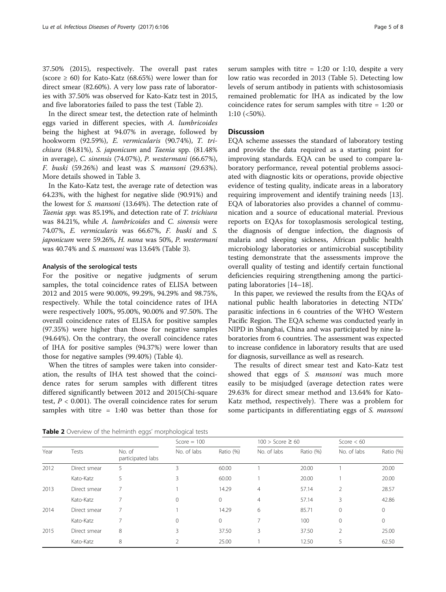37.50% (2015), respectively. The overall past rates (score  $\geq$  60) for Kato-Katz (68.65%) were lower than for direct smear (82.60%). A very low pass rate of laboratories with 37.50% was observed for Kato-Katz test in 2015, and five laboratories failed to pass the test (Table 2).

In the direct smear test, the detection rate of helminth eggs varied in different species, with A. lumbricoides being the highest at 94.07% in average, followed by hookworm (92.59%), E. vermicularis (90.74%), T. trichiura (84.81%), S. japonicum and Taenia spp. (81.48% in average), C. sinensis (74.07%), P. westermani (66.67%), F. buski (59.26%) and least was S. mansoni (29.63%). More details showed in Table [3](#page-5-0).

In the Kato-Katz test, the average rate of detection was 64.23%, with the highest for negative slide (90.91%) and the lowest for S. mansoni (13.64%). The detection rate of Taenia spp. was 85.19%, and detection rate of T. trichiura was 84.21%, while A. lumbricoides and C. sinensis were 74.07%, E. vermicularis was 66.67%, F. buski and S. japonicum were 59.26%, H. nana was 50%, P. westermani was 40.74% and S. mansoni was 13.64% (Table [3](#page-5-0)).

#### Analysis of the serological tests

For the positive or negative judgments of serum samples, the total coincidence rates of ELISA between 2012 and 2015 were 90.00%, 99.29%, 94.29% and 98.75%, respectively. While the total coincidence rates of IHA were respectively 100%, 95.00%, 90.00% and 97.50%. The overall coincidence rates of ELISA for positive samples (97.35%) were higher than those for negative samples (94.64%). On the contrary, the overall coincidence rates of IHA for positive samples (94.37%) were lower than those for negative samples (99.40%) (Table [4\)](#page-5-0).

When the titres of samples were taken into consideration, the results of IHA test showed that the coincidence rates for serum samples with different titres differed significantly between 2012 and 2015(Chi-square test,  $P < 0.001$ ). The overall coincidence rates for serum samples with titre = 1:40 was better than those for serum samples with titre  $= 1:20$  or 1:10, despite a very low ratio was recorded in 2013 (Table [5](#page-6-0)). Detecting low levels of serum antibody in patients with schistosomiasis remained problematic for IHA as indicated by the low coincidence rates for serum samples with titre = 1:20 or 1:10 (<50%).

#### **Discussion**

EQA scheme assesses the standard of laboratory testing and provide the data required as a starting point for improving standards. EQA can be used to compare laboratory performance, reveal potential problems associated with diagnostic kits or operations, provide objective evidence of testing quality, indicate areas in a laboratory requiring improvement and identify training needs [\[13](#page-7-0)]. EQA of laboratories also provides a channel of communication and a source of educational material. Previous reports on EQAs for toxoplasmosis serological testing, the diagnosis of dengue infection, the diagnosis of malaria and sleeping sickness, African public health microbiology laboratories or antimicrobial susceptibility testing demonstrate that the assessments improve the overall quality of testing and identify certain functional deficiencies requiring strengthening among the participating laboratories [\[14](#page-7-0)–[18\]](#page-7-0).

In this paper, we reviewed the results from the EQAs of national public health laboratories in detecting NTDs' parasitic infections in 6 countries of the WHO Western Pacific Region. The EQA scheme was conducted yearly in NIPD in Shanghai, China and was participated by nine laboratories from 6 countries. The assessment was expected to increase confidence in laboratory results that are used for diagnosis, surveillance as well as research.

The results of direct smear test and Kato-Katz test showed that eggs of S. mansoni was much more easily to be misjudged (average detection rates were 29.63% for direct smear method and 13.64% for Kato-Katz method, respectively). There was a problem for some participants in differentiating eggs of S. mansoni

|      |              |                             | Score $= 100$ |           | $100 >$ Score $\geq 60$ |           | Score $< 60$   |           |
|------|--------------|-----------------------------|---------------|-----------|-------------------------|-----------|----------------|-----------|
| Year | Tests        | No. of<br>participated labs | No. of labs   | Ratio (%) | No. of labs             | Ratio (%) | No. of labs    | Ratio (%) |
| 2012 | Direct smear | Ċ.                          | 3             | 60.00     |                         | 20.00     |                | 20.00     |
|      | Kato-Katz    |                             | 3             | 60.00     |                         | 20.00     |                | 20.00     |
| 2013 | Direct smear |                             |               | 14.29     | 4                       | 57.14     | $\overline{2}$ | 28.57     |
|      | Kato-Katz    |                             | 0             | 0         | 4                       | 57.14     | 3              | 42.86     |
| 2014 | Direct smear |                             |               | 14.29     | 6                       | 85.71     | $\mathbf{0}$   | 0         |
|      | Kato-Katz    |                             | 0             | 0         |                         | 100       | $\mathbf{0}$   | 0         |
| 2015 | Direct smear | 8                           | 3             | 37.50     | 3                       | 37.50     | $\mathfrak{D}$ | 25.00     |
|      | Kato-Katz    | 8                           |               | 25.00     |                         | 12.50     |                | 62.50     |

Table 2 Overview of the helminth eggs' morphological tests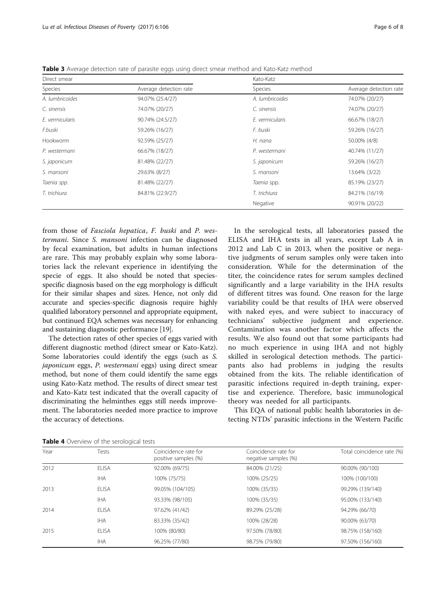| Direct smear                      |                  | Kato-Katz       |                        |  |  |
|-----------------------------------|------------------|-----------------|------------------------|--|--|
| Average detection rate<br>Species |                  | Species         | Average detection rate |  |  |
| A. lumbricoides                   | 94.07% (25.4/27) | A. lumbricoides | 74.07% (20/27)         |  |  |
| C. sinensis                       | 74.07% (20/27)   | C. sinensis     | 74.07% (20/27)         |  |  |
| E. vermicularis                   | 90.74% (24.5/27) | E. vermicularis | 66.67% (18/27)         |  |  |
| F.buski                           | 59.26% (16/27)   | F. buski        | 59.26% (16/27)         |  |  |
| Hookworm                          | 92.59% (25/27)   | H. nana         | 50.00% (4/8)           |  |  |
| P. westermani                     | 66.67% (18/27)   | P. westermani   | 40.74% (11/27)         |  |  |
| S. japonicum                      | 81.48% (22/27)   | S. japonicum    | 59.26% (16/27)         |  |  |
| S. mansoni                        | 29.63% (8/27)    | S. mansoni      | 13.64% (3/22)          |  |  |
| Taenia spp.                       | 81.48% (22/27)   | Taenia spp.     | 85.19% (23/27)         |  |  |
| T. trichiura                      | 84.81% (22.9/27) | T. trichiura    | 84.21% (16/19)         |  |  |
|                                   |                  | Negative        | 90.91% (20/22)         |  |  |

<span id="page-5-0"></span>Table 3 Average detection rate of parasite eggs using direct smear method and Kato-Katz method

from those of Fasciola hepatica, F. buski and P. westermani. Since S. mansoni infection can be diagnosed by fecal examination, but adults in human infections are rare. This may probably explain why some laboratories lack the relevant experience in identifying the specie of eggs. It also should be noted that speciesspecific diagnosis based on the egg morphology is difficult for their similar shapes and sizes. Hence, not only did accurate and species-specific diagnosis require highly qualified laboratory personnel and appropriate equipment, but continued EQA schemes was necessary for enhancing and sustaining diagnostic performance [[19](#page-7-0)].

The detection rates of other species of eggs varied with different diagnostic method (direct smear or Kato-Katz). Some laboratories could identify the eggs (such as S. japonicum eggs, P. westermani eggs) using direct smear method, but none of them could identify the same eggs using Kato-Katz method. The results of direct smear test and Kato-Katz test indicated that the overall capacity of discriminating the helminthes eggs still needs improvement. The laboratories needed more practice to improve the accuracy of detections.

In the serological tests, all laboratories passed the ELISA and IHA tests in all years, except Lab A in 2012 and Lab C in 2013, when the positive or negative judgments of serum samples only were taken into consideration. While for the determination of the titer, the coincidence rates for serum samples declined significantly and a large variability in the IHA results of different titres was found. One reason for the large variability could be that results of IHA were observed with naked eyes, and were subject to inaccuracy of technicians' subjective judgment and experience. Contamination was another factor which affects the results. We also found out that some participants had no much experience in using IHA and not highly skilled in serological detection methods. The participants also had problems in judging the results obtained from the kits. The reliable identification of parasitic infections required in-depth training, expertise and experience. Therefore, basic immunological theory was needed for all participants.

This EQA of national public health laboratories in detecting NTDs' parasitic infections in the Western Pacific

Table 4 Overview of the serological tests

| Year | Tests        | Coincidence rate for<br>positive samples (%) | Coincidence rate for<br>negative samples (%) | Total coincidence rate (%) |
|------|--------------|----------------------------------------------|----------------------------------------------|----------------------------|
| 2012 | ELISA        | 92.00% (69/75)                               | 84.00% (21/25)                               | 90.00% (90/100)            |
|      | <b>IHA</b>   | 100% (75/75)                                 | 100% (25/25)                                 | 100% (100/100)             |
| 2013 | ELISA        | 99.05% (104/105)                             | 100% (35/35)                                 | 99.29% (139/140)           |
|      | <b>IHA</b>   | 93.33% (98/105)                              | 100% (35/35)                                 | 95.00% (133/140)           |
| 2014 | <b>ELISA</b> | 97.62% (41/42)                               | 89.29% (25/28)                               | 94.29% (66/70)             |
|      | <b>IHA</b>   | 83.33% (35/42)                               | 100% (28/28)                                 | 90.00% (63/70)             |
| 2015 | ELISA        | 100% (80/80)                                 | 97.50% (78/80)                               | 98.75% (158/160)           |
|      | <b>IHA</b>   | 96.25% (77/80)                               | 98.75% (79/80)                               | 97.50% (156/160)           |
|      |              |                                              |                                              |                            |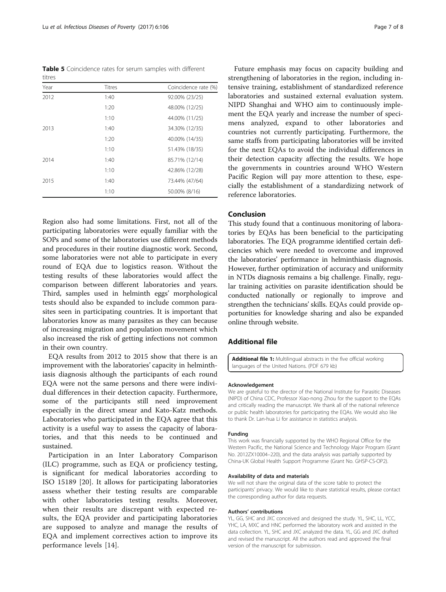<span id="page-6-0"></span>Table 5 Coincidence rates for serum samples with different titres

| Year | <b>Titres</b> | Coincidence rate (%) |
|------|---------------|----------------------|
| 2012 | 1:40          | 92.00% (23/25)       |
|      | 1:20          | 48.00% (12/25)       |
|      | 1:10          | 44.00% (11/25)       |
| 2013 | 1:40          | 34.30% (12/35)       |
|      | 1:20          | 40.00% (14/35)       |
|      | 1:10          | 51.43% (18/35)       |
| 2014 | 1:40          | 85.71% (12/14)       |
|      | 1:10          | 42.86% (12/28)       |
| 2015 | 1:40          | 73.44% (47/64)       |
|      | 1:10          | 50.00% (8/16)        |

Region also had some limitations. First, not all of the participating laboratories were equally familiar with the SOPs and some of the laboratories use different methods and procedures in their routine diagnostic work. Second, some laboratories were not able to participate in every round of EQA due to logistics reason. Without the testing results of these laboratories would affect the comparison between different laboratories and years. Third, samples used in helminth eggs' morphological tests should also be expanded to include common parasites seen in participating countries. It is important that laboratories know as many parasites as they can because of increasing migration and population movement which also increased the risk of getting infections not common in their own country.

EQA results from 2012 to 2015 show that there is an improvement with the laboratories' capacity in helminthiasis diagnosis although the participants of each round EQA were not the same persons and there were individual differences in their detection capacity. Furthermore, some of the participants still need improvement especially in the direct smear and Kato-Katz methods. Laboratories who participated in the EQA agree that this activity is a useful way to assess the capacity of laboratories, and that this needs to be continued and sustained.

Participation in an Inter Laboratory Comparison (ILC) programme, such as EQA or proficiency testing, is significant for medical laboratories according to ISO 15189 [\[20](#page-7-0)]. It allows for participating laboratories assess whether their testing results are comparable with other laboratories testing results. Moreover, when their results are discrepant with expected results, the EQA provider and participating laboratories are supposed to analyze and manage the results of EQA and implement correctives action to improve its performance levels [\[14](#page-7-0)].

Future emphasis may focus on capacity building and strengthening of laboratories in the region, including intensive training, establishment of standardized reference laboratories and sustained external evaluation system. NIPD Shanghai and WHO aim to continuously implement the EQA yearly and increase the number of specimens analyzed, expand to other laboratories and countries not currently participating. Furthermore, the same staffs from participating laboratories will be invited for the next EQAs to avoid the individual differences in their detection capacity affecting the results. We hope the governments in countries around WHO Western Pacific Region will pay more attention to these, especially the establishment of a standardizing network of reference laboratories.

#### Conclusion

This study found that a continuous monitoring of laboratories by EQAs has been beneficial to the participating laboratories. The EQA programme identified certain deficiencies which were needed to overcome and improved the laboratories' performance in helminthiasis diagnosis. However, further optimization of accuracy and uniformity in NTDs diagnosis remains a big challenge. Finally, regular training activities on parasite identification should be conducted nationally or regionally to improve and strengthen the technicians' skills. EQAs could provide opportunities for knowledge sharing and also be expanded online through website.

#### Additional file

[Additional file 1:](dx.doi.org/10.1186/s40249-017-0319-x) Multilingual abstracts in the five official working languages of the United Nations. (PDF 679 kb)

#### Acknowledgement

We are grateful to the director of the National Institute for Parasitic Diseases (NIPD) of China CDC, Professor Xiao-nong Zhou for the support to the EQAs and critically reading the manuscript. We thank all of the national reference or public health laboratories for participating the EQAs. We would also like to thank Dr. Lan-hua Li for assistance in statistics analysis.

#### Funding

This work was financially supported by the WHO Regional Office for the Western Pacific, the National Science and Technology Major Program (Grant No. 2012ZX10004–220), and the data analysis was partially supported by China-UK Global Health Support Programme (Grant No. GHSP-CS-OP2).

#### Availability of data and materials

We will not share the original data of the score table to protect the participants' privacy. We would like to share statistical results, please contact the corresponding author for data requests.

#### Authors' contributions

YL, GG, SHC and JXC conceived and designed the study. YL, SHC, LL, YCC, YHC, LA, MXC and HNC performed the laboratory work and assisted in the data collection. YL, SHC and JXC analyzed the data. YL, GG and JXC drafted and revised the manuscript. All the authors read and approved the final version of the manuscript for submission.